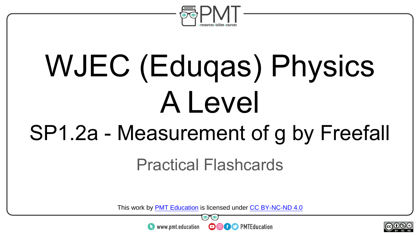

# WJEC (Eduqas) Physics A Level

#### SP1.2a - Measurement of g by Freefall

Practical Flashcards

This work by <u>PMT Education</u> is licensed under CC BY-NC-ND 4.0<br>
www.pmt.education **in the CO CO** PMTEducation

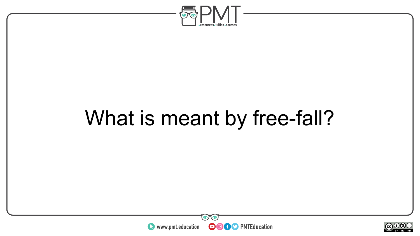

#### What is meant by free-fall?



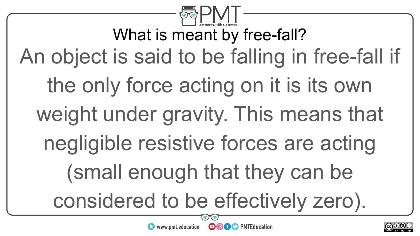

What is meant by free-fall? An object is said to be falling in free-fall if the only force acting on it is its own weight under gravity. This means that negligible resistive forces are acting (small enough that they can be considered to be effectively zero).



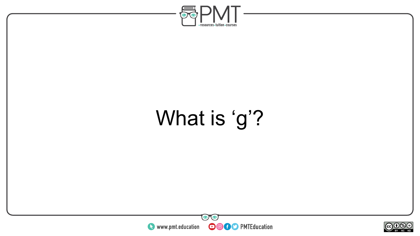

### What is 'g'?



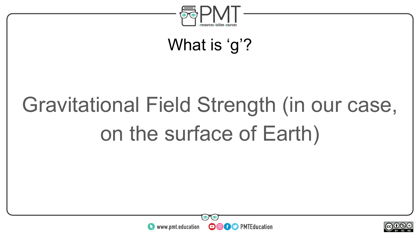

#### What is 'g'?

## Gravitational Field Strength (in our case, on the surface of Earth)



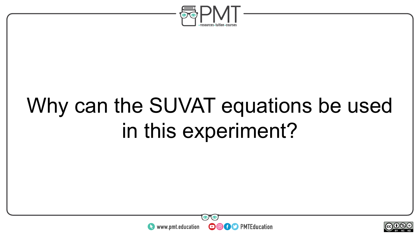

#### Why can the SUVAT equations be used in this experiment?



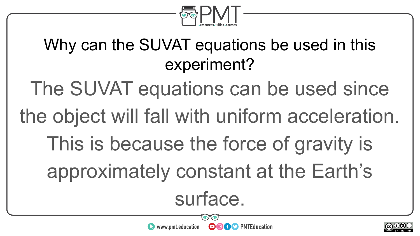

#### Why can the SUVAT equations be used in this experiment?

The SUVAT equations can be used since

the object will fall with uniform acceleration.

This is because the force of gravity is

approximately constant at the Earth's

surface.

**OOOO** PMTEducation

 $\bullet$  www.pmt.education

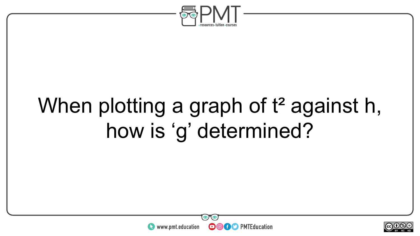

### When plotting a graph of t<sup>2</sup> against h, how is 'g' determined?



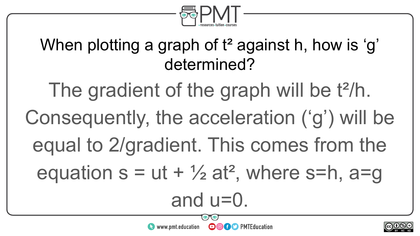

#### When plotting a graph of t<sup>2</sup> against h, how is 'g' determined?

The gradient of the graph will be t<sup>2</sup>/h. Consequently, the acceleration ('g') will be equal to 2/gradient. This comes from the equation  $s = ut + \frac{1}{2}at^2$ , where  $s=h$ ,  $a=g$ and u=0.

**OOOO** PMTEducation

 $\bullet$  www.pmt.education

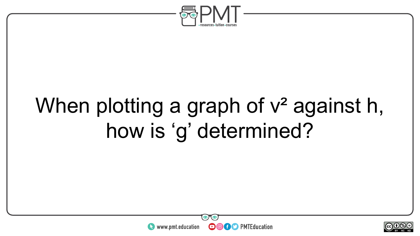

### When plotting a graph of  $v^2$  against h, how is 'g' determined?



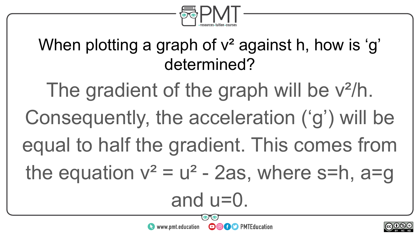

#### When plotting a graph of  $v^2$  against h, how is 'g' determined?

The gradient of the graph will be  $v^2/h$ .

Consequently, the acceleration ('g') will be

equal to half the gradient. This comes from

the equation  $v^2 = u^2 - 2as$ , where s=h, a=g

and u=0.

**OOOO** PMTEducation

 $\bullet$  www.pmt.education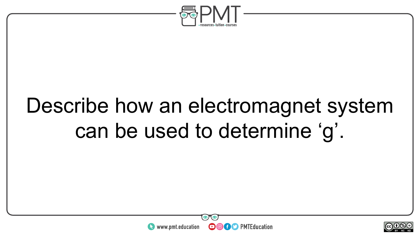

#### Describe how an electromagnet system can be used to determine 'g'.



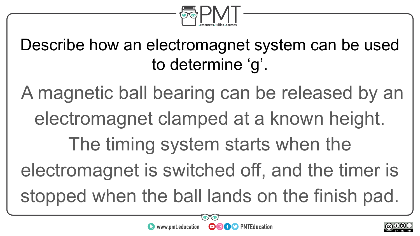

Describe how an electromagnet system can be used to determine 'g'.

A magnetic ball bearing can be released by an electromagnet clamped at a known height. The timing system starts when the electromagnet is switched off, and the timer is stopped when the ball lands on the finish pad.



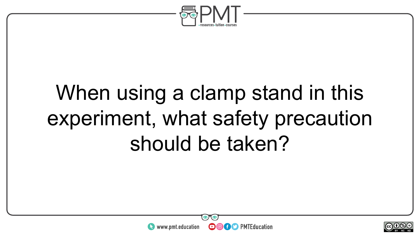

#### When using a clamp stand in this experiment, what safety precaution should be taken?



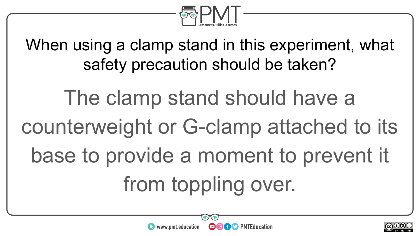

When using a clamp stand in this experiment, what safety precaution should be taken?

The clamp stand should have a counterweight or G-clamp attached to its base to provide a moment to prevent it from toppling over.



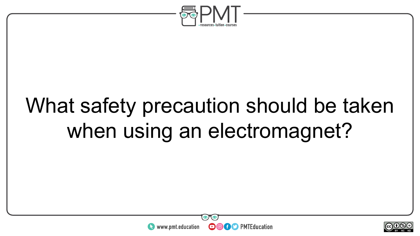

### What safety precaution should be taken when using an electromagnet?



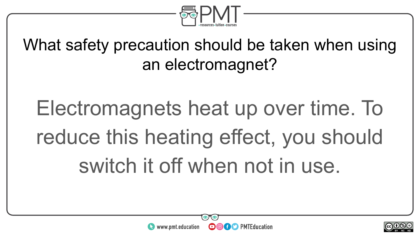

What safety precaution should be taken when using an electromagnet?

Electromagnets heat up over time. To reduce this heating effect, you should switch it off when not in use.



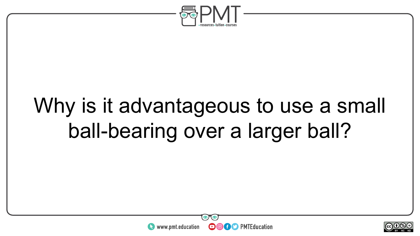

#### Why is it advantageous to use a small ball-bearing over a larger ball?



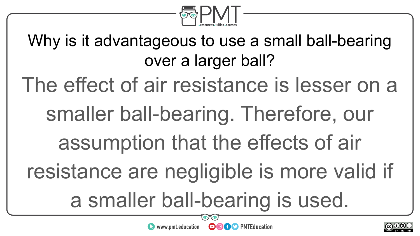

Why is it advantageous to use a small ball-bearing over a larger ball?

The effect of air resistance is lesser on a

smaller ball-bearing. Therefore, our

assumption that the effects of air

resistance are negligible is more valid if

a smaller ball-bearing is used.



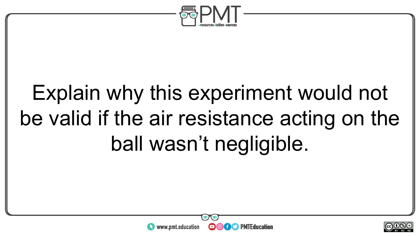

### Explain why this experiment would not be valid if the air resistance acting on the ball wasn't negligible.



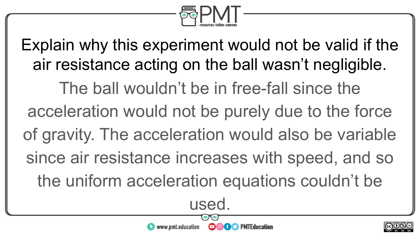

Explain why this experiment would not be valid if the air resistance acting on the ball wasn't negligible. The ball wouldn't be in free-fall since the acceleration would not be purely due to the force of gravity. The acceleration would also be variable since air resistance increases with speed, and so the uniform acceleration equations couldn't be

used.

∩

**Of C** PMTEducation

www.pmt.education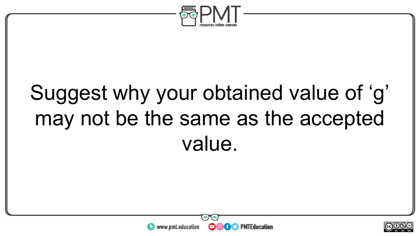

### Suggest why your obtained value of 'g' may not be the same as the accepted value.



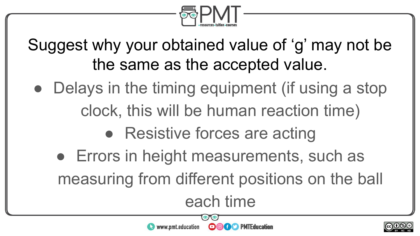

Suggest why your obtained value of 'g' may not be the same as the accepted value.

- Delays in the timing equipment (if using a stop clock, this will be human reaction time)
	- Resistive forces are acting

www.pmt.education

• Errors in height measurements, such as measuring from different positions on the ball each time

 $\boldsymbol{\Theta}$ 

**O** f C PMTEducation

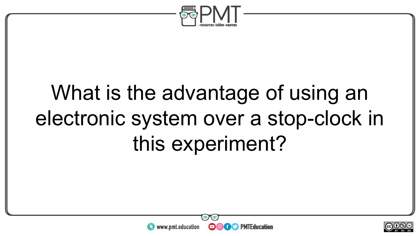

### What is the advantage of using an electronic system over a stop-clock in this experiment?



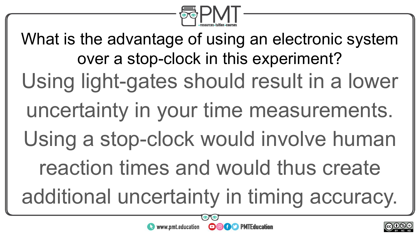

What is the advantage of using an electronic system over a stop-clock in this experiment? Using light-gates should result in a lower uncertainty in your time measurements. Using a stop-clock would involve human reaction times and would thus create additional uncertainty in timing accuracy.

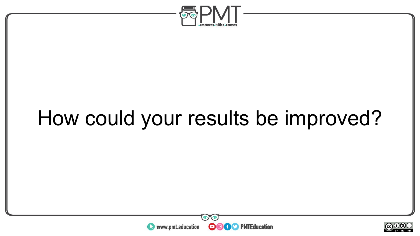

#### How could your results be improved?



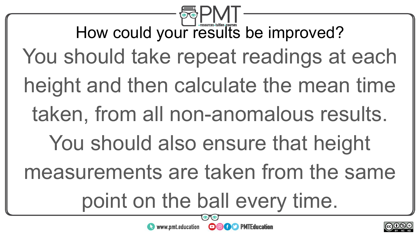How could your results be improved? You should take repeat readings at each height and then calculate the mean time taken, from all non-anomalous results. You should also ensure that height measurements are taken from the same point on the ball every time.  $\sim$ neel www.pmt.education **DOGO** PMTEducation

BY NC ND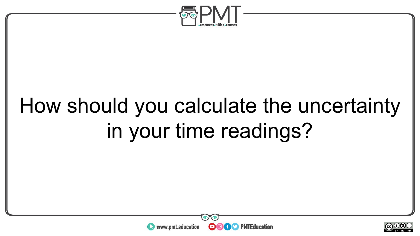

### How should you calculate the uncertainty in your time readings?



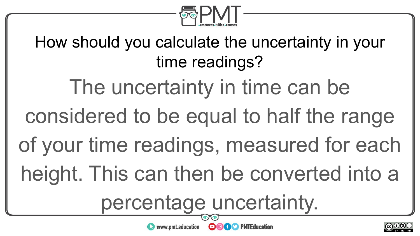

How should you calculate the uncertainty in your time readings?

The uncertainty in time can be

- considered to be equal to half the range
- of your time readings, measured for each

height. This can then be converted into a

percentage uncertainty.

**OOOO** PMTEducation

www.pmt.education

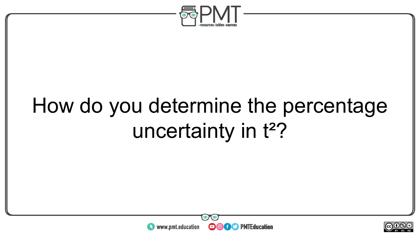

#### How do you determine the percentage uncertainty in t<sup>2</sup>?



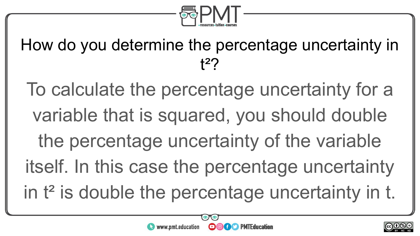

How do you determine the percentage uncertainty in t²?

To calculate the percentage uncertainty for a variable that is squared, you should double the percentage uncertainty of the variable itself. In this case the percentage uncertainty in t<sup>2</sup> is double the percentage uncertainty in t.

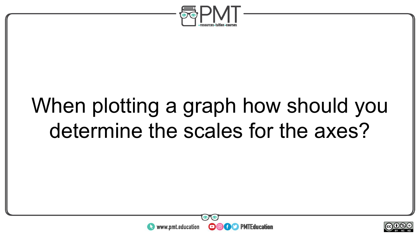

#### When plotting a graph how should you determine the scales for the axes?



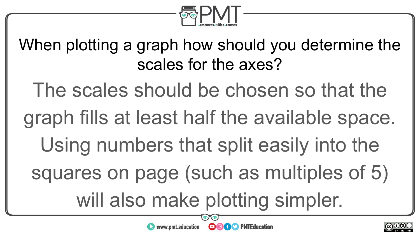

When plotting a graph how should you determine the scales for the axes?

The scales should be chosen so that the

graph fills at least half the available space.

Using numbers that split easily into the

squares on page (such as multiples of 5)

will also make plotting simpler.



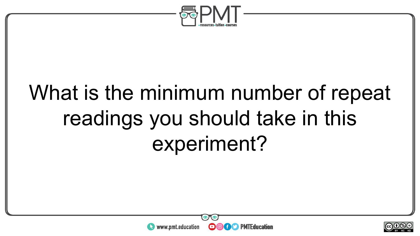

#### What is the minimum number of repeat readings you should take in this experiment?



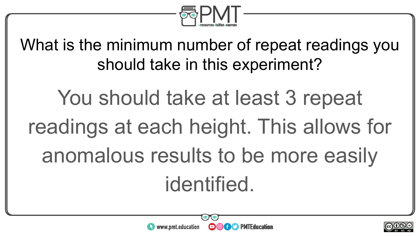

What is the minimum number of repeat readings you should take in this experiment?

You should take at least 3 repeat readings at each height. This allows for anomalous results to be more easily identified.

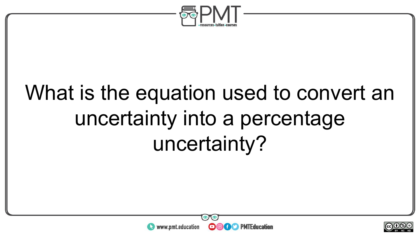

#### What is the equation used to convert an uncertainty into a percentage uncertainty?



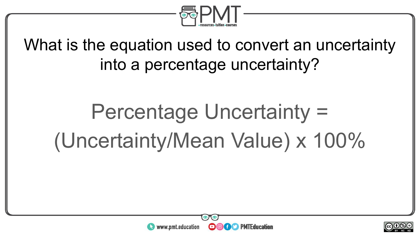

What is the equation used to convert an uncertainty into a percentage uncertainty?

### Percentage Uncertainty = (Uncertainty/Mean Value) x 100%



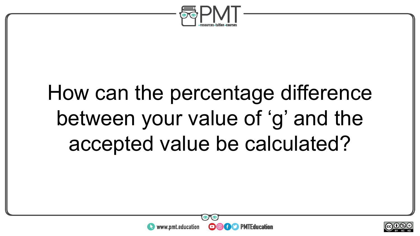

#### How can the percentage difference between your value of 'g' and the accepted value be calculated?



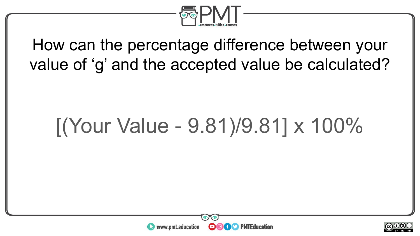

How can the percentage difference between your value of 'g' and the accepted value be calculated?

#### [(Your Value - 9.81)/9.81] x 100%



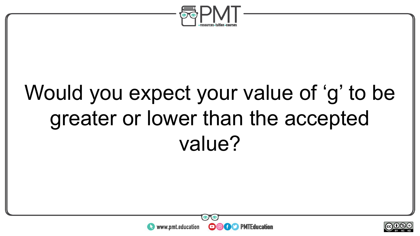

#### Would you expect your value of 'g' to be greater or lower than the accepted value?



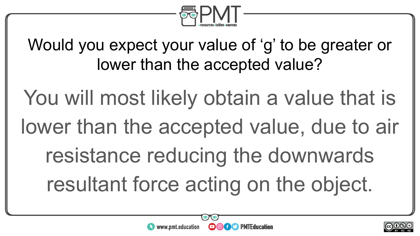

Would you expect your value of 'g' to be greater or lower than the accepted value?

You will most likely obtain a value that is lower than the accepted value, due to air resistance reducing the downwards resultant force acting on the object.

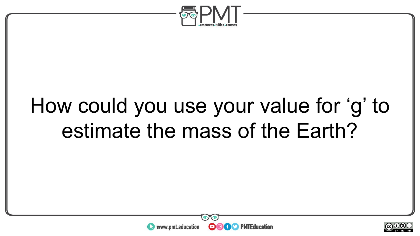

#### How could you use your value for 'g' to estimate the mass of the Earth?